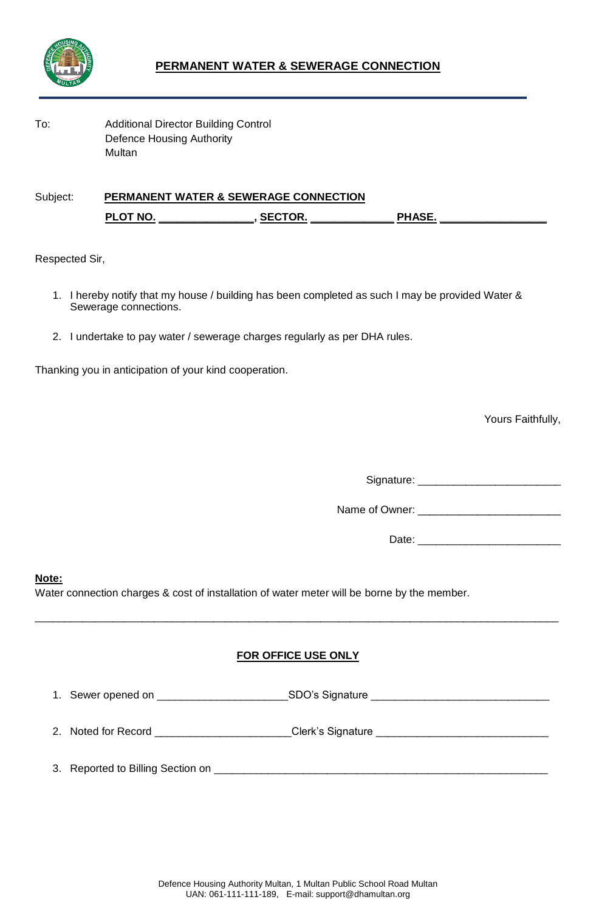

To: Additional Director Building Control Defence Housing Authority **Multan** 

Subject: **PERMANENT WATER & SEWERAGE CONNECTION PLOT NO. \_\_\_\_\_\_\_\_\_\_\_\_\_\_\_\_, SECTOR. \_\_\_\_\_\_\_\_\_\_\_\_\_\_ PHASE. \_\_\_\_\_\_\_\_\_\_\_\_\_\_\_\_\_\_**

Respected Sir,

- 1. I hereby notify that my house / building has been completed as such I may be provided Water & Sewerage connections.
- 2. I undertake to pay water / sewerage charges regularly as per DHA rules.

Thanking you in anticipation of your kind cooperation.

Yours Faithfully,

Signature: \_\_\_\_\_\_\_\_\_\_\_\_\_\_\_\_\_\_\_\_\_\_\_\_

Name of Owner: \_\_\_\_\_\_\_\_\_\_\_\_\_\_\_\_\_\_\_\_\_\_\_\_

Date: \_\_\_\_\_\_\_\_\_\_\_\_\_\_\_\_\_\_\_\_\_\_\_\_

**Note:**

Water connection charges & cost of installation of water meter will be borne by the member.

## **FOR OFFICE USE ONLY**

\_\_\_\_\_\_\_\_\_\_\_\_\_\_\_\_\_\_\_\_\_\_\_\_\_\_\_\_\_\_\_\_\_\_\_\_\_\_\_\_\_\_\_\_\_\_\_\_\_\_\_\_\_\_\_\_\_\_\_\_\_\_\_\_\_\_\_\_\_\_\_\_\_\_\_\_\_\_\_\_\_\_\_\_\_\_\_\_

|  | 1. Sewer opened on | SDO's Signature |
|--|--------------------|-----------------|
|--|--------------------|-----------------|

- 2. Noted for Record \_\_\_\_\_\_\_\_\_\_\_\_\_\_\_\_\_\_\_\_\_\_\_Clerk's Signature \_\_\_\_\_\_\_\_\_\_\_\_\_\_\_\_\_\_\_\_\_\_\_\_\_\_\_\_\_
- 3. Reported to Billing Section on \_\_\_\_\_\_\_\_\_\_\_\_\_\_\_\_\_\_\_\_\_\_\_\_\_\_\_\_\_\_\_\_\_\_\_\_\_\_\_\_\_\_\_\_\_\_\_\_\_\_\_\_\_\_\_\_